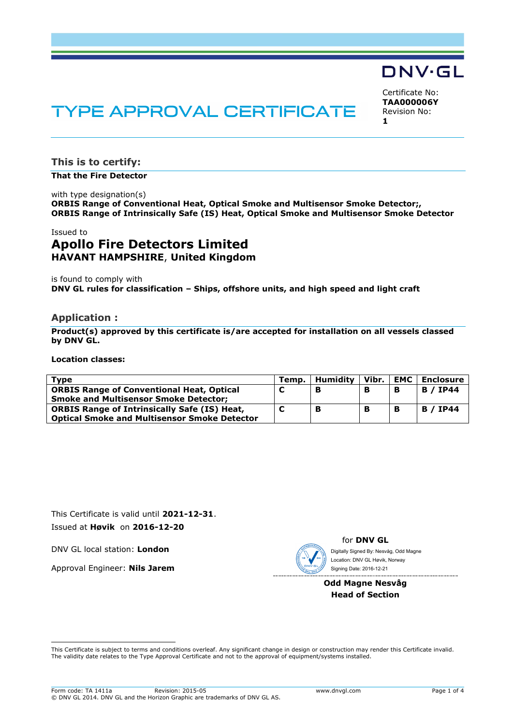## DNV·GL

# **TYPE APPROVAL CERTIFICATE**

Certificate No: **TAA000006Y** Revision No: **1**

**This is to certify:**

**That the Fire Detector**

with type designation(s) **ORBIS Range of Conventional Heat, Optical Smoke and Multisensor Smoke Detector;, ORBIS Range of Intrinsically Safe (IS) Heat, Optical Smoke and Multisensor Smoke Detector**

#### Issued to

### **Apollo Fire Detectors Limited HAVANT HAMPSHIRE**, **United Kingdom**

is found to comply with **DNV GL rules for classification – Ships, offshore units, and high speed and light craft**

#### **Application :**

**Product(s) approved by this certificate is/are accepted for installation on all vessels classed by DNV GL.**

**Location classes:**

| Type                                                | Temp. | Humidity | Vibr. | <b>EMC</b> | <b>Enclosure</b> |
|-----------------------------------------------------|-------|----------|-------|------------|------------------|
| <b>ORBIS Range of Conventional Heat, Optical</b>    |       | в        |       | в          | <b>B</b> / IP44  |
| <b>Smoke and Multisensor Smoke Detector:</b>        |       |          |       |            |                  |
| <b>ORBIS Range of Intrinsically Safe (IS) Heat,</b> |       |          |       | В          | <b>B</b> / IP44  |
| <b>Optical Smoke and Multisensor Smoke Detector</b> |       |          |       |            |                  |

This Certificate is valid until **2021-12-31**. Issued at **Høvik** on **2016-12-20**

DNV GL local station: **London**

Approval Engineer: **Nils Jarem**



for **DNV GL** Digitally Signed By: Nesvåg, Odd Magne Signing Date: 2016-12-21 Location: DNV GL Høvik, Norway

#### **Odd Magne Nesvåg Head of Section**

 This Certificate is subject to terms and conditions overleaf. Any significant change in design or construction may render this Certificate invalid. The validity date relates to the Type Approval Certificate and not to the approval of equipment/systems installed.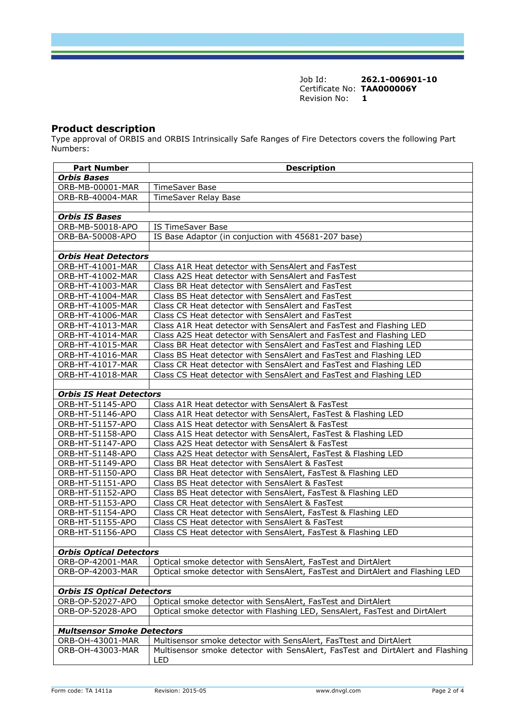Job Id: **262.1-006901-10** Certificate No: **TAA000006Y** Revision No: **1**

#### **Product description**

Type approval of ORBIS and ORBIS Intrinsically Safe Ranges of Fire Detectors covers the following Part Numbers:

| <b>Part Number</b><br><b>Orbis Bases</b> | <b>Description</b>                                                                                                |
|------------------------------------------|-------------------------------------------------------------------------------------------------------------------|
| ORB-MB-00001-MAR                         | <b>TimeSaver Base</b>                                                                                             |
| ORB-RB-40004-MAR                         | TimeSaver Relay Base                                                                                              |
|                                          |                                                                                                                   |
| <b>Orbis IS Bases</b>                    |                                                                                                                   |
| ORB-MB-50018-APO                         | <b>IS TimeSaver Base</b>                                                                                          |
| ORB-BA-50008-APO                         | IS Base Adaptor (in conjuction with 45681-207 base)                                                               |
|                                          |                                                                                                                   |
| <b>Orbis Heat Detectors</b>              |                                                                                                                   |
| ORB-HT-41001-MAR                         | Class A1R Heat detector with SensAlert and FasTest                                                                |
| ORB-HT-41002-MAR                         | Class A2S Heat detector with SensAlert and FasTest                                                                |
| ORB-HT-41003-MAR                         | Class BR Heat detector with SensAlert and FasTest                                                                 |
| ORB-HT-41004-MAR                         | Class BS Heat detector with SensAlert and FasTest                                                                 |
| ORB-HT-41005-MAR                         | Class CR Heat detector with SensAlert and FasTest                                                                 |
| ORB-HT-41006-MAR                         | Class CS Heat detector with SensAlert and FasTest                                                                 |
| ORB-HT-41013-MAR                         | Class A1R Heat detector with SensAlert and FasTest and Flashing LED                                               |
| ORB-HT-41014-MAR                         | Class A2S Heat detector with SensAlert and FasTest and Flashing LED                                               |
| ORB-HT-41015-MAR                         | Class BR Heat detector with SensAlert and FasTest and Flashing LED                                                |
| ORB-HT-41016-MAR                         | Class BS Heat detector with SensAlert and FasTest and Flashing LED                                                |
| ORB-HT-41017-MAR                         | Class CR Heat detector with SensAlert and FasTest and Flashing LED                                                |
| ORB-HT-41018-MAR                         | Class CS Heat detector with SensAlert and FasTest and Flashing LED                                                |
|                                          |                                                                                                                   |
| <b>Orbis IS Heat Detectors</b>           |                                                                                                                   |
| ORB-HT-51145-APO                         | Class A1R Heat detector with SensAlert & FasTest                                                                  |
| ORB-HT-51146-APO                         | Class A1R Heat detector with SensAlert, FasTest & Flashing LED                                                    |
| ORB-HT-51157-APO                         | Class A1S Heat detector with SensAlert & FasTest                                                                  |
| ORB-HT-51158-APO                         | Class A1S Heat detector with SensAlert, FasTest & Flashing LED                                                    |
| ORB-HT-51147-APO                         | Class A2S Heat detector with SensAlert & FasTest                                                                  |
| ORB-HT-51148-APO<br>ORB-HT-51149-APO     | Class A2S Heat detector with SensAlert, FasTest & Flashing LED<br>Class BR Heat detector with SensAlert & FasTest |
| ORB-HT-51150-APO                         | Class BR Heat detector with SensAlert, FasTest & Flashing LED                                                     |
| ORB-HT-51151-APO                         | Class BS Heat detector with SensAlert & FasTest                                                                   |
| ORB-HT-51152-APO                         | Class BS Heat detector with SensAlert, FasTest & Flashing LED                                                     |
| ORB-HT-51153-APO                         | Class CR Heat detector with SensAlert & FasTest                                                                   |
| ORB-HT-51154-APO                         | Class CR Heat detector with SensAlert, FasTest & Flashing LED                                                     |
| ORB-HT-51155-APO                         | Class CS Heat detector with SensAlert & FasTest                                                                   |
| ORB-HT-51156-APO                         | Class CS Heat detector with SensAlert, FasTest & Flashing LED                                                     |
|                                          |                                                                                                                   |
| <b>Orbis Optical Detectors</b>           |                                                                                                                   |
| ORB-OP-42001-MAR                         | Optical smoke detector with SensAlert, FasTest and DirtAlert                                                      |
| ORB-OP-42003-MAR                         | Optical smoke detector with SensAlert, FasTest and DirtAlert and Flashing LED                                     |
|                                          |                                                                                                                   |
| <b>Orbis IS Optical Detectors</b>        |                                                                                                                   |
| ORB-OP-52027-APO                         | Optical smoke detector with SensAlert, FasTest and DirtAlert                                                      |
| ORB-OP-52028-APO                         | Optical smoke detector with Flashing LED, SensAlert, FasTest and DirtAlert                                        |
|                                          |                                                                                                                   |
| <b>Multsensor Smoke Detectors</b>        |                                                                                                                   |
| ORB-OH-43001-MAR                         | Multisensor smoke detector with SensAlert, FasTtest and DirtAlert                                                 |
| ORB-OH-43003-MAR                         | Multisensor smoke detector with SensAlert, FasTest and DirtAlert and Flashing                                     |
|                                          | LED                                                                                                               |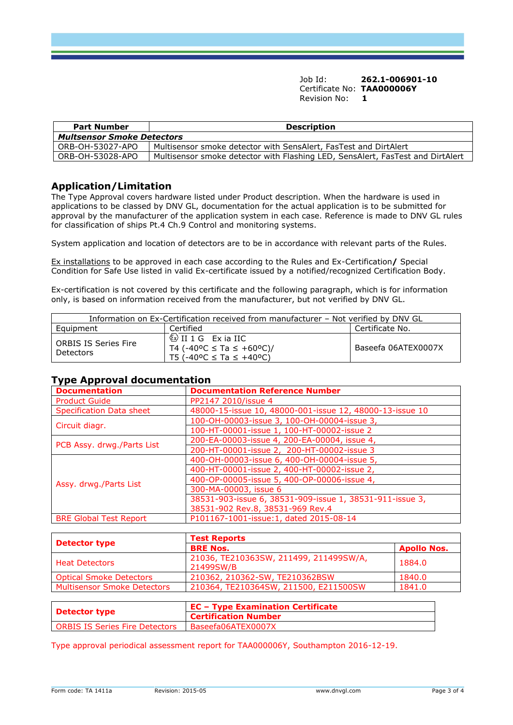Job Id: **262.1-006901-10** Certificate No: **TAA000006Y** Revision No: **1**

| <b>Part Number</b>                | <b>Description</b>                                                             |
|-----------------------------------|--------------------------------------------------------------------------------|
| <b>Multsensor Smoke Detectors</b> |                                                                                |
| ORB-OH-53027-APO                  | Multisensor smoke detector with SensAlert, FasTest and DirtAlert               |
| ORB-OH-53028-APO                  | Multisensor smoke detector with Flashing LED, SensAlert, FasTest and DirtAlert |

#### **Application/Limitation**

The Type Approval covers hardware listed under Product description. When the hardware is used in applications to be classed by DNV GL, documentation for the actual application is to be submitted for approval by the manufacturer of the application system in each case. Reference is made to DNV GL rules for classification of ships Pt.4 Ch.9 Control and monitoring systems.

System application and location of detectors are to be in accordance with relevant parts of the Rules.

Ex installations to be approved in each case according to the Rules and Ex-Certification**/** Special Condition for Safe Use listed in valid Ex-certificate issued by a notified/recognized Certification Body.

Ex-certification is not covered by this certificate and the following paragraph, which is for information only, is based on information received from the manufacturer, but not verified by DNV GL.

| Information on Ex-Certification received from manufacturer – Not verified by DNV GL |                                                                                                                            |                     |
|-------------------------------------------------------------------------------------|----------------------------------------------------------------------------------------------------------------------------|---------------------|
| Eauipment                                                                           | Certified                                                                                                                  | Certificate No.     |
| <b>ORBIS IS Series Fire</b><br><b>Detectors</b>                                     | $\sqrt{\xi_{\mathsf{X}}}$ II 1 G Exia IIC<br>T4 (-40°C ≤ Ta ≤ +60°C)/<br>T5 (-40 <sup>o</sup> C ≤ Ta ≤ +40 <sup>o</sup> C) | Baseefa 06ATEX0007X |

#### **Type Approval documentation**

| <b>Documentation</b>            | <b>Documentation Reference Number</b>                    |
|---------------------------------|----------------------------------------------------------|
| <b>Product Guide</b>            | PP2147 2010/issue 4                                      |
| <b>Specification Data sheet</b> | 48000-15-issue 10, 48000-001-issue 12, 48000-13-issue 10 |
| Circuit diagr.                  | 100-OH-00003-issue 3, 100-OH-00004-issue 3,              |
|                                 | 100-HT-00001-issue 1, 100-HT-00002-issue 2               |
|                                 | 200-EA-00003-issue 4, 200-EA-00004, issue 4,             |
| PCB Assy. drwg./Parts List      | 200-HT-00001-issue 2, 200-HT-00002-issue 3               |
| Assy. drwg./Parts List          | 400-OH-00003-issue 6, 400-OH-00004-issue 5,              |
|                                 | 400-HT-00001-issue 2, 400-HT-00002-issue 2,              |
|                                 | 400-OP-00005-issue 5, 400-OP-00006-issue 4,              |
|                                 | 300-MA-00003, issue 6                                    |
|                                 | 38531-903-issue 6, 38531-909-issue 1, 38531-911-issue 3, |
|                                 | 38531-902 Rev.8, 38531-969 Rev.4                         |
| <b>BRE Global Test Report</b>   | P101167-1001-issue:1, dated 2015-08-14                   |

|                                    | <b>Test Reports</b>                                 |                    |  |  |
|------------------------------------|-----------------------------------------------------|--------------------|--|--|
| <b>Detector type</b>               | <b>BRE Nos.</b>                                     | <b>Apollo Nos.</b> |  |  |
| <b>Heat Detectors</b>              | 21036, TE210363SW, 211499, 211499SW/A,<br>21499SW/B | 1884.0             |  |  |
| <b>Optical Smoke Detectors</b>     | 210362, 210362-SW, TE210362BSW                      | 1840.0             |  |  |
| <b>Multisensor Smoke Detectors</b> | 210364, TE210364SW, 211500, E211500SW               | 1841.0             |  |  |

|                                                     | <b>EC - Type Examination Certificate</b> |  |
|-----------------------------------------------------|------------------------------------------|--|
| <b>Detector type</b><br><b>Certification Number</b> |                                          |  |
| ORBIS IS Series Fire Detectors                      | Baseefa06ATEX0007X                       |  |

Type approval periodical assessment report for TAA000006Y, Southampton 2016-12-19.